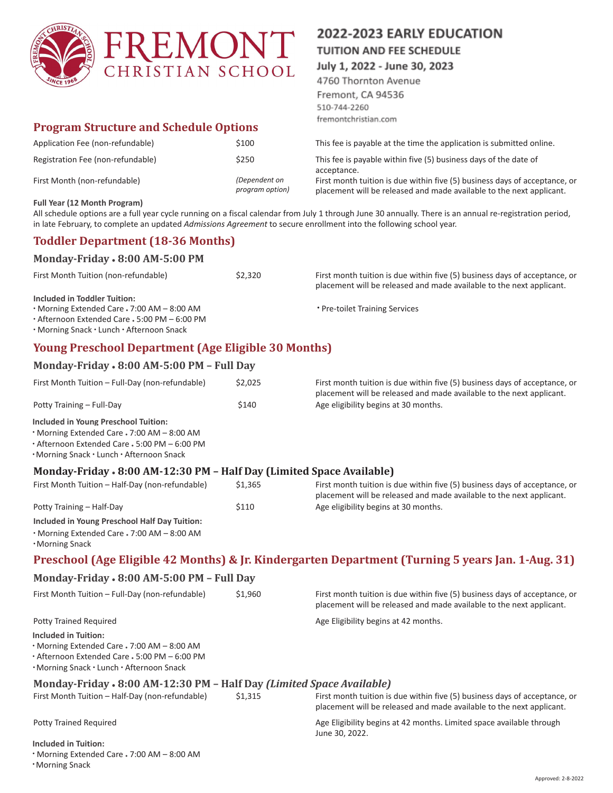

# **Program Structure and Schedule Options**

| Application Fee (non-refundable)  | \$100                            |
|-----------------------------------|----------------------------------|
| Registration Fee (non-refundable) | \$250                            |
| First Month (non-refundable)      | (Dependent on<br>program option) |

# 2022-2023 EARLY EDUCATION

**TUITION AND FEE SCHEDULE** 

July 1, 2022 - June 30, 2023

4760 Thornton Avenue Fremont, CA 94536 510-744-2260 fremontchristian.com

This fee is payable at the time the application is submitted online.

This fee is payable within five (5) business days of the date of acceptance.

First month tuition is due within five (5) business days of acceptance, or placement will be released and made available to the next applicant.

#### **Full Year (12 Month Program)**

All schedule options are a full year cycle running on a fiscal calendar from July 1 through June 30 annually. There is an annual re-registration period, in late February, to complete an updated *Admissions Agreement* to secure enrollment into the following school year.

# **Toddler Department (18-36 Months)**

**Monday-Friday** ● **8:00 AM-5:00 PM**

| <b>MORAL DISPOSED FOR THE VEHICLE VEHICLE</b> |         |                                                                                                                                                    |
|-----------------------------------------------|---------|----------------------------------------------------------------------------------------------------------------------------------------------------|
| First Month Tuition (non-refundable)          | \$2.320 | First month tuition is due within five (5) business days of acceptance, or<br>placement will be released and made available to the next applicant. |
| Included in Toddler Tuition:                  |         |                                                                                                                                                    |
| • Morning Extended Care • 7:00 AM – 8:00 AM   |         | * Pre-toilet Training Services                                                                                                                     |
| • Afternoon Extended Care - 5:00 PM - 6:00 PM |         |                                                                                                                                                    |
| . Morning Snack · Lunch · Afternoon Snack     |         |                                                                                                                                                    |

# **Young Preschool Department (Age Eligible 30 Months)**

### **Monday-Friday** ● **8:00 AM-5:00 PM – Full Day**

| First Month Tuition - Full-Day (non-refundable) | \$2,025 | First month tuition is due within five (5) business days of acceptance, or<br>placement will be released and made available to the next applicant. |
|-------------------------------------------------|---------|----------------------------------------------------------------------------------------------------------------------------------------------------|
| Potty Training - Full-Day                       | \$140   | Age eligibility begins at 30 months.                                                                                                               |
| Included in Young Preschool Tuition:            |         |                                                                                                                                                    |
| • Morning Extended Care . 7:00 AM - 8:00 AM     |         |                                                                                                                                                    |
| • Afternoon Extended Care - 5:00 PM - 6:00 PM   |         |                                                                                                                                                    |

• Morning Snack • Lunch • Afternoon Snack

# **Monday-Friday** ● **8:00 AM-12:30 PM – Half Day (Limited Space Available)**

| First Month Tuition - Half-Day (non-refundable) | \$1.365 | First month tuition is due within five (5) business days of acceptance, or<br>placement will be released and made available to the next applicant. |
|-------------------------------------------------|---------|----------------------------------------------------------------------------------------------------------------------------------------------------|
| Potty Training - Half-Day                       | \$110   | Age eligibility begins at 30 months.                                                                                                               |
| Included in Young Preschool Half Day Tuition:   |         |                                                                                                                                                    |
| • Morning Extended Care • 7:00 AM – 8:00 AM     |         |                                                                                                                                                    |
| <b>Morning Snack</b>                            |         |                                                                                                                                                    |

# **Preschool (Age Eligible 42 Months) & Jr. Kindergarten Department (Turning 5 years Jan. 1-Aug. 31)**

### **Monday-Friday** ● **8:00 AM-5:00 PM – Full Day**

| First Month Tuition - Full-Day (non-refundable)                                                                                                                   | \$1,960 | First month tuition is due within five (5) business days of acceptance, or<br>placement will be released and made available to the next applicant. |
|-------------------------------------------------------------------------------------------------------------------------------------------------------------------|---------|----------------------------------------------------------------------------------------------------------------------------------------------------|
| Potty Trained Required                                                                                                                                            |         | Age Eligibility begins at 42 months.                                                                                                               |
| Included in Tuition:<br>· Morning Extended Care - 7:00 AM - 8:00 AM<br>• Afternoon Extended Care - 5:00 PM - 6:00 PM<br>. Morning Snack · Lunch · Afternoon Snack |         |                                                                                                                                                    |
| Monday-Friday • 8:00 AM-12:30 PM – Half Day (Limited Space Available)                                                                                             |         |                                                                                                                                                    |
| First Month Tuition - Half-Day (non-refundable)                                                                                                                   | \$1.315 | First month tuition is due within five (5) business days of acceptance, or<br>placement will be released and made available to the next applicant. |
| <b>Potty Trained Required</b>                                                                                                                                     |         | Age Eligibility begins at 42 months. Limited space available through<br>June 30, 2022.                                                             |
| <b>Included in Tuition:</b>                                                                                                                                       |         |                                                                                                                                                    |
| • Morning Extended Care . 7:00 AM - 8:00 AM                                                                                                                       |         |                                                                                                                                                    |
| <b>Morning Snack</b>                                                                                                                                              |         |                                                                                                                                                    |